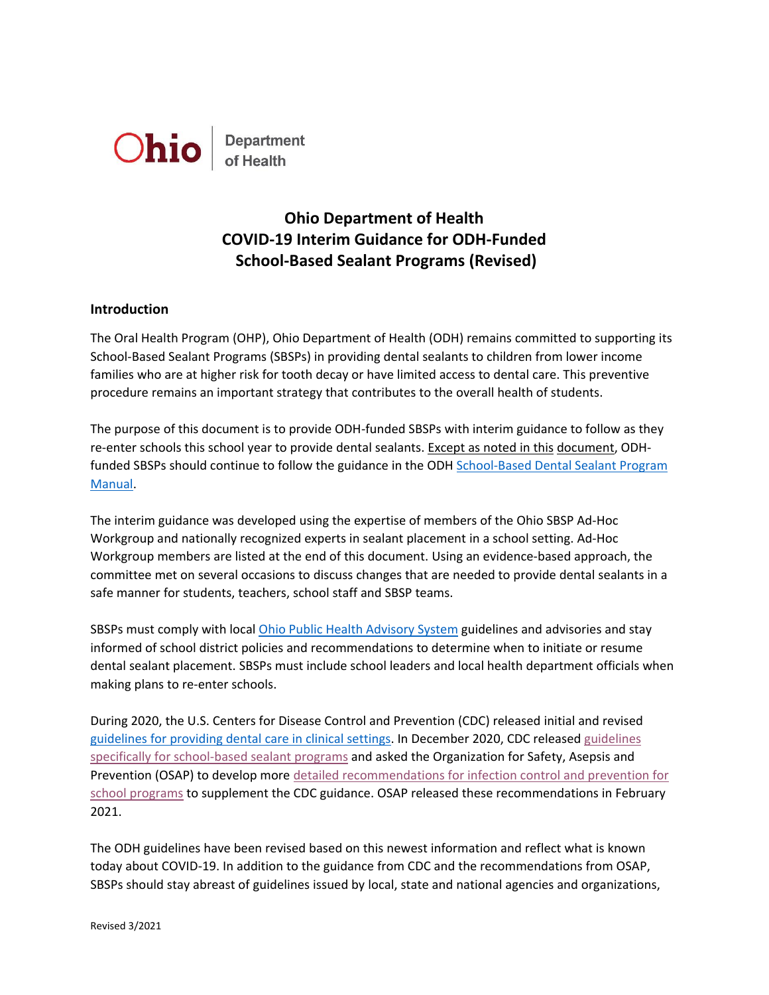

# **Ohio Department of Health COVID-19 Interim Guidance for ODH-Funded School-Based Sealant Programs (Revised)**

## **Introduction**

The Oral Health Program (OHP), Ohio Department of Health (ODH) remains committed to supporting its School-Based Sealant Programs (SBSPs) in providing dental sealants to children from lower income families who are at higher risk for tooth decay or have limited access to dental care. This preventive procedure remains an important strategy that contributes to the overall health of students.

The purpose of this document is to provide ODH-funded SBSPs with interim guidance to follow as they re-enter schools this school year to provide dental sealants. Except as noted in this document, ODHfunded SBSPs should continue to follow the guidance in the ODH School-Based Dental Sealant Program [Manual.](https://odh.ohio.gov/wps/wcm/connect/gov/aeda4a89-69bc-4629-82e7-bb67b41aa348/School-based+Dental+Sealant+Program+Manual.pdf?MOD=AJPERES&CONVERT_TO=url&CACHEID=ROOTWORKSPACE.Z18_M1HGGIK0N0JO00QO9DDDDM3000-aeda4a89-69bc-4629-82e7-bb67b41aa348-mzsIBZt)

The interim guidance was developed using the expertise of members of the Ohio SBSP Ad-Hoc Workgroup and nationally recognized experts in sealant placement in a school setting. Ad-Hoc Workgroup members are listed at the end of this document. Using an evidence-based approach, the committee met on several occasions to discuss changes that are needed to provide dental sealants in a safe manner for students, teachers, school staff and SBSP teams.

SBSPs must comply with local Ohio Public [Health Advisory](https://coronavirus.ohio.gov/wps/portal/gov/covid-19/public-health-advisory-system/) System guidelines and advisories and stay informed of school district policies and recommendations to determine when to initiate or resume dental sealant placement. SBSPs must include school leaders and local health department officials when making plans to re-enter schools.

During 2020, the U.S. Centers for Disease Control and Prevention (CDC) released initial and revised [guidelines for providing dental care in clinical settings.](https://www.cdc.gov/coronavirus/2019-ncov/hcp/dental-settings.html) In December 2020, CDC released [guidelines](https://www.cdc.gov/oralhealth/dental_sealant_program/school-sealant-programs-considerations-during-COVID-19.html)  [specifically for school-based sealant programs](https://www.cdc.gov/oralhealth/dental_sealant_program/school-sealant-programs-considerations-during-COVID-19.html) and asked the Organization for Safety, Asepsis and Prevention (OSAP) to develop mor[e detailed recommendations for infection control and prevention for](https://www.osap.org/page/ipc-guide-for-ssp-during-covid-19?utm_source=Master+List+-+Members+and+Non-Members&utm_campaign=6d047d79d6-EMAIL_CAMPAIGN_2020_10_27_02_36_COPY_01&utm_medium=email&utm_term=0_65e2169692-6d047d79d6-94923617)  school [programs](https://www.osap.org/page/ipc-guide-for-ssp-during-covid-19?utm_source=Master+List+-+Members+and+Non-Members&utm_campaign=6d047d79d6-EMAIL_CAMPAIGN_2020_10_27_02_36_COPY_01&utm_medium=email&utm_term=0_65e2169692-6d047d79d6-94923617) to supplement the CDC guidance. OSAP released these recommendations in February 2021.

The ODH guidelines have been revised based on this newest information and reflect what is known today about COVID-19. In addition to the guidance from CDC and the recommendations from OSAP, SBSPs should stay abreast of guidelines issued by local, state and national agencies and organizations,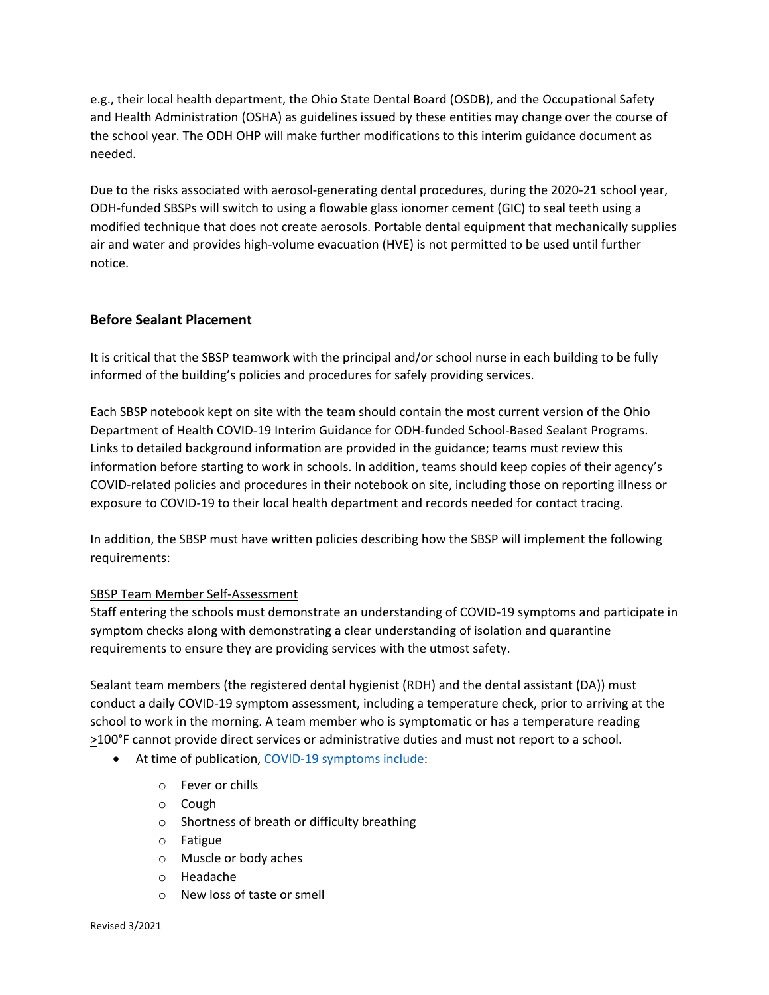e.g., their local health department, the Ohio State Dental Board (OSDB), and the Occupational Safety and Health Administration (OSHA) as guidelines issued by these entities may change over the course of the school year. The ODH OHP will make further modifications to this interim guidance document as needed.

Due to the risks associated with aerosol-generating dental procedures, during the 2020-21 school year, ODH-funded SBSPs will switch to using a flowable glass ionomer cement (GIC) to seal teeth using a modified technique that does not create aerosols. Portable dental equipment that mechanically supplies air and water and provides high-volume evacuation (HVE) is not permitted to be used until further notice.

# **Before Sealant Placement**

It is critical that the SBSP teamwork with the principal and/or school nurse in each building to be fully informed of the building's policies and procedures for safely providing services.

Each SBSP notebook kept on site with the team should contain the most current version of the Ohio Department of Health COVID-19 Interim Guidance for ODH-funded School-Based Sealant Programs. Links to detailed background information are provided in the guidance; teams must review this information before starting to work in schools. In addition, teams should keep copies of their agency's COVID-related policies and procedures in their notebook on site, including those on reporting illness or exposure to COVID-19 to their local health department and records needed for contact tracing.

In addition, the SBSP must have written policies describing how the SBSP will implement the following requirements:

# SBSP Team Member Self-Assessment

Staff entering the schools must demonstrate an understanding of COVID-19 symptoms and participate in symptom checks along with demonstrating a clear understanding of isolation and quarantine requirements to ensure they are providing services with the utmost safety.

Sealant team members (the registered dental hygienist (RDH) and the dental assistant (DA)) must conduct a daily COVID-19 symptom assessment, including a temperature check, prior to arriving at the school to work in the morning. A team member who is symptomatic or has a temperature reading >100°F cannot provide direct services or administrative duties and must not report to a school.

- At time of publication, [COVID-19 symptoms include:](https://www.cdc.gov/coronavirus/2019-ncov/symptoms-testing/symptoms.html)
	- o Fever or chills
	- o Cough
	- o Shortness of breath or difficulty breathing
	- o Fatigue
	- o Muscle or body aches
	- o Headache
	- o New loss of taste or smell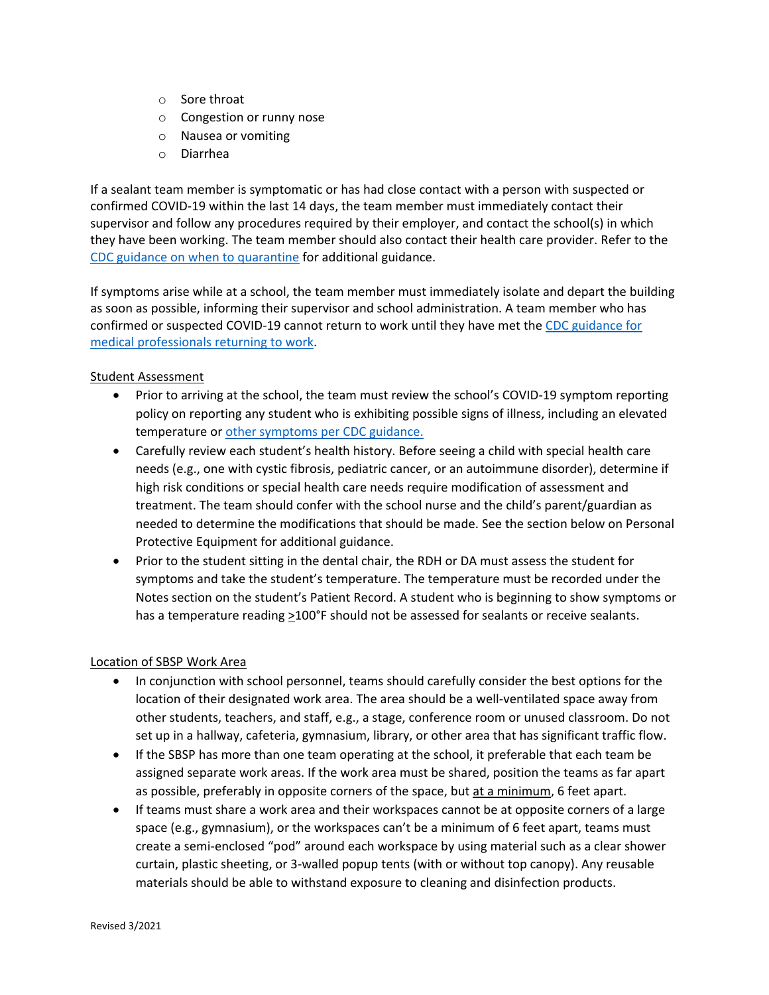- o Sore throat
- o Congestion or runny nose
- o Nausea or vomiting
- o Diarrhea

If a sealant team member is symptomatic or has had close contact with a person with suspected or confirmed COVID-19 within the last 14 days, the team member must immediately contact their supervisor and follow any procedures required by their employer, and contact the school(s) in which they have been working. The team member should also contact their health care provider. Refer to the [CDC guidance on when to quarantine](https://www.cdc.gov/coronavirus/2019-ncov/if-you-are-sick/quarantine.html) for additional guidance.

If symptoms arise while at a school, the team member must immediately isolate and depart the building as soon as possible, informing their supervisor and school administration. A team member who has confirmed or suspected COVID-19 cannot return to work until they have met the [CDC guidance for](https://www.cdc.gov/coronavirus/2019-ncov/hcp/return-to-work.html) [medical professionals](https://www.cdc.gov/coronavirus/2019-ncov/hcp/return-to-work.html) returning to work.

#### Student Assessment

- Prior to arriving at the school, the team must review the school's COVID-19 symptom reporting policy on reporting any student who is exhibiting possible signs of illness, including an elevated temperature o[r other symptoms per CDC guidance.](https://www.cdc.gov/coronavirus/2019-ncov/symptoms-testing/symptoms.html)
- Carefully review each student's health history. Before seeing a child with special health care needs (e.g., one with cystic fibrosis, pediatric cancer, or an autoimmune disorder), determine if high risk conditions or special health care needs require modification of assessment and treatment. The team should confer with the school nurse and the child's parent/guardian as needed to determine the modifications that should be made. See the section below on Personal Protective Equipment for additional guidance.
- Prior to the student sitting in the dental chair, the RDH or DA must assess the student for symptoms and take the student's temperature. The temperature must be recorded under the Notes section on the student's Patient Record. A student who is beginning to show symptoms or has a temperature reading >100°F should not be assessed for sealants or receive sealants.

## Location of SBSP Work Area

- In conjunction with school personnel, teams should carefully consider the best options for the location of their designated work area. The area should be a well-ventilated space away from other students, teachers, and staff, e.g., a stage, conference room or unused classroom. Do not set up in a hallway, cafeteria, gymnasium, library, or other area that has significant traffic flow.
- If the SBSP has more than one team operating at the school, it preferable that each team be assigned separate work areas. If the work area must be shared, position the teams as far apart as possible, preferably in opposite corners of the space, but at a minimum, 6 feet apart.
- If teams must share a work area and their workspaces cannot be at opposite corners of a large space (e.g., gymnasium), or the workspaces can't be a minimum of 6 feet apart, teams must create a semi-enclosed "pod" around each workspace by using material such as a clear shower curtain, plastic sheeting, or 3-walled popup tents (with or without top canopy). Any reusable materials should be able to withstand exposure to cleaning and disinfection products.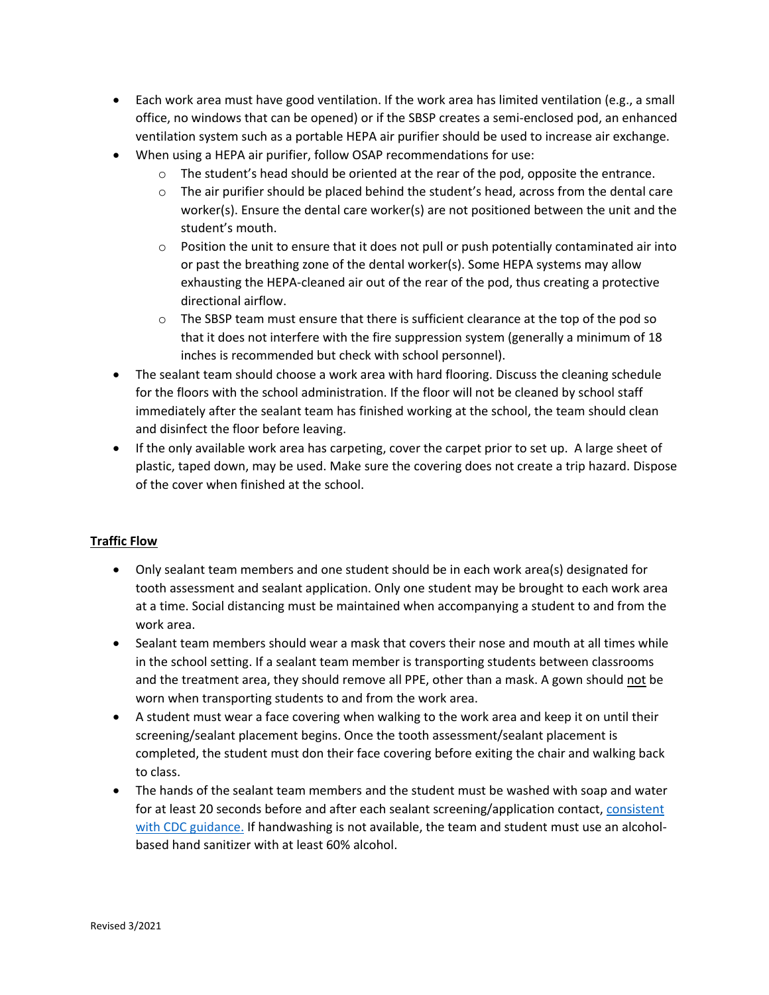- Each work area must have good ventilation. If the work area has limited ventilation (e.g., a small office, no windows that can be opened) or if the SBSP creates a semi-enclosed pod, an enhanced ventilation system such as a portable HEPA air purifier should be used to increase air exchange.
- When using a HEPA air purifier, follow OSAP recommendations for use:
	- $\circ$  The student's head should be oriented at the rear of the pod, opposite the entrance.
	- $\circ$  The air purifier should be placed behind the student's head, across from the dental care worker(s). Ensure the dental care worker(s) are not positioned between the unit and the student's mouth.
	- $\circ$  Position the unit to ensure that it does not pull or push potentially contaminated air into or past the breathing zone of the dental worker(s). Some HEPA systems may allow exhausting the HEPA-cleaned air out of the rear of the pod, thus creating a protective directional airflow.
	- $\circ$  The SBSP team must ensure that there is sufficient clearance at the top of the pod so that it does not interfere with the fire suppression system (generally a minimum of 18 inches is recommended but check with school personnel).
- The sealant team should choose a work area with hard flooring. Discuss the cleaning schedule for the floors with the school administration. If the floor will not be cleaned by school staff immediately after the sealant team has finished working at the school, the team should clean and disinfect the floor before leaving.
- If the only available work area has carpeting, cover the carpet prior to set up. A large sheet of plastic, taped down, may be used. Make sure the covering does not create a trip hazard. Dispose of the cover when finished at the school.

# **Traffic Flow**

- Only sealant team members and one student should be in each work area(s) designated for tooth assessment and sealant application. Only one student may be brought to each work area at a time. Social distancing must be maintained when accompanying a student to and from the work area.
- Sealant team members should wear a mask that covers their nose and mouth at all times while in the school setting. If a sealant team member is transporting students between classrooms and the treatment area, they should remove all PPE, other than a mask. A gown should not be worn when transporting students to and from the work area.
- A student must wear a face covering when walking to the work area and keep it on until their screening/sealant placement begins. Once the tooth assessment/sealant placement is completed, the student must don their face covering before exiting the chair and walking back to class.
- The hands of the sealant team members and the student must be washed with soap and water for at least 20 seconds before and after each sealant screening/application contact, [consistent](https://www.cdc.gov/coronavirus/2019-ncov/global-covid-19/handwashing.html)  [with CDC guidance.](https://www.cdc.gov/coronavirus/2019-ncov/global-covid-19/handwashing.html) If handwashing is not available, the team and student must use an alcoholbased hand sanitizer with at least 60% alcohol.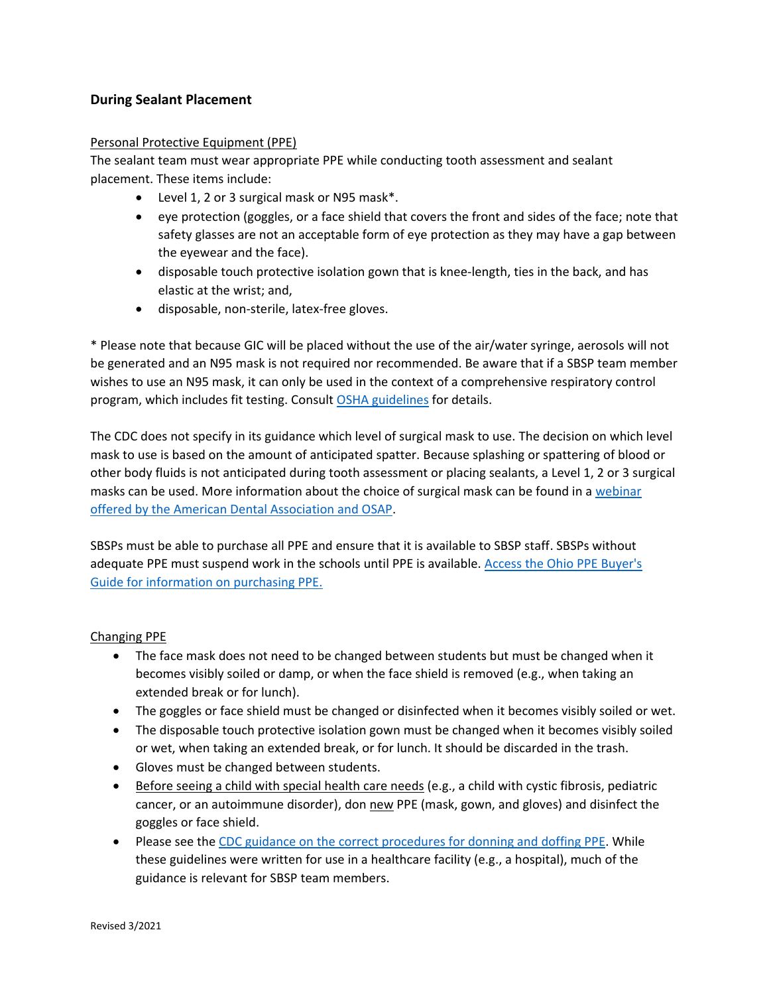# **During Sealant Placement**

#### Personal Protective Equipment (PPE)

The sealant team must wear appropriate PPE while conducting tooth assessment and sealant placement. These items include:

- Level 1, 2 or 3 surgical mask or N95 mask\*.
- eye protection (goggles, or a face shield that covers the front and sides of the face; note that safety glasses are not an acceptable form of eye protection as they may have a gap between the eyewear and the face).
- disposable touch protective isolation gown that is knee-length, ties in the back, and has elastic at the wrist; and,
- disposable, non-sterile, latex-free gloves.

\* Please note that because GIC will be placed without the use of the air/water syringe, aerosols will not be generated and an N95 mask is not required nor recommended. Be aware that if a SBSP team member wishes to use an N95 mask, it can only be used in the context of a comprehensive respiratory control program, which includes fit testing. Consult [OSHA guidelines](file:///C:/Users/10058748/Downloads/OSHA’s%20guidelines) for details.

The CDC does not specify in its guidance which level of surgical mask to use. The decision on which level mask to use is based on the amount of anticipated spatter. Because splashing or spattering of blood or other body fluids is not anticipated during tooth assessment or placing sealants, a Level 1, 2 or 3 surgical masks can be used. More information about the choice of surgical mask can be found in a webinar [offered by the American Dental Association](https://www.youtube.com/watch?v=nCXa3t9dtBU&feature=youtu.be) and OSAP.

SBSPs must be able to purchase all PPE and ensure that it is available to SBSP staff. SBSPs without adequate PPE must suspend work in the schools until PPE is available. [Access the Ohio PPE Buyer's](https://repurposingproject.sharetribe.com/?q=buyers+Guide)  [Guide for information on purchasing PPE.](https://repurposingproject.sharetribe.com/?q=buyers+Guide)

## Changing PPE

- The face mask does not need to be changed between students but must be changed when it becomes visibly soiled or damp, or when the face shield is removed (e.g., when taking an extended break or for lunch).
- The goggles or face shield must be changed or disinfected when it becomes visibly soiled or wet.
- The disposable touch protective isolation gown must be changed when it becomes visibly soiled or wet, when taking an extended break, or for lunch. It should be discarded in the trash.
- Gloves must be changed between students.
- Before seeing a child with special health care needs (e.g., a child with cystic fibrosis, pediatric cancer, or an autoimmune disorder), don new PPE (mask, gown, and gloves) and disinfect the goggles or face shield.
- Please see the [CDC guidance on the correct procedures for donning and doffing PPE.](https://www.cdc.gov/coronavirus/2019-ncov/hcp/using-ppe.html) While these guidelines were written for use in a healthcare facility (e.g., a hospital), much of the guidance is relevant for SBSP team members.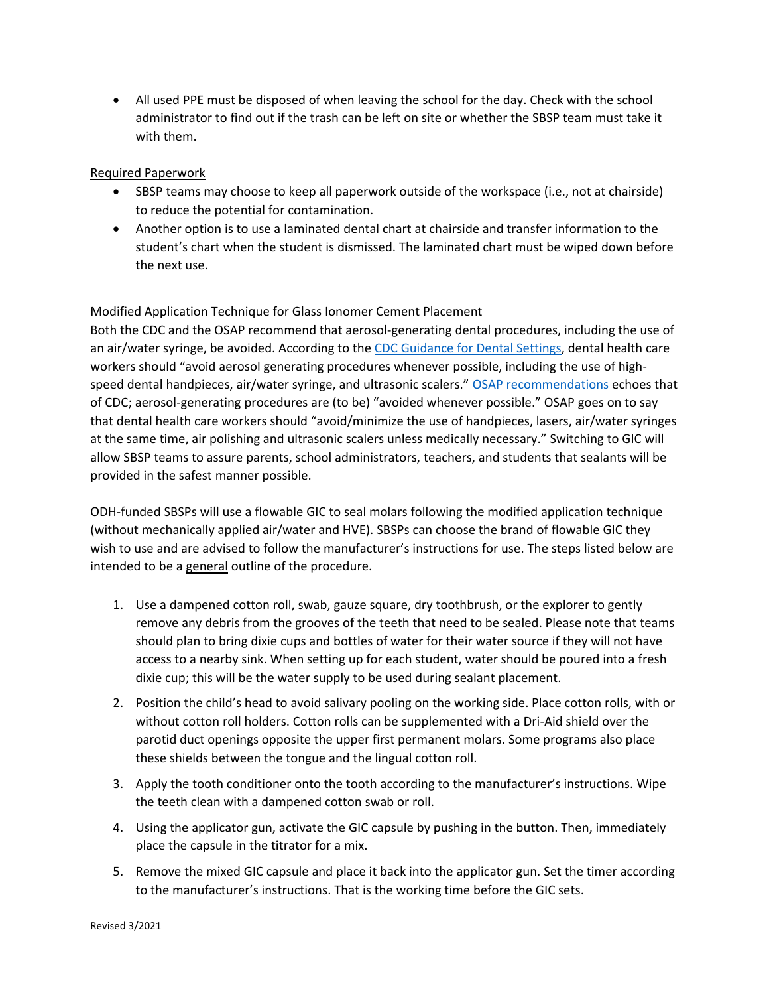• All used PPE must be disposed of when leaving the school for the day. Check with the school administrator to find out if the trash can be left on site or whether the SBSP team must take it with them.

## Required Paperwork

- SBSP teams may choose to keep all paperwork outside of the workspace (i.e., not at chairside) to reduce the potential for contamination.
- Another option is to use a laminated dental chart at chairside and transfer information to the student's chart when the student is dismissed. The laminated chart must be wiped down before the next use.

## Modified Application Technique for Glass Ionomer Cement Placement

Both the CDC and the OSAP recommend that aerosol-generating dental procedures, including the use of an air/water syringe, be avoided. According to the [CDC Guidance for Dental Settings,](https://www.cdc.gov/coronavirus/2019-ncov/hcp/dental-settings.html) dental health care workers should "avoid aerosol generating procedures whenever possible, including the use of high-speed dental handpieces, air/water syringe, and ultrasonic scalers." [OSAP recommendations](https://www.osap.org/page/ipc-guide-for-ssp-during-covid-19?utm_source=Master+List+-+Members+and+Non-Members&utm_campaign=6d047d79d6-EMAIL_CAMPAIGN_2020_10_27_02_36_COPY_01&utm_medium=email&utm_term=0_65e2169692-6d047d79d6-94923617) echoes that of CDC; aerosol-generating procedures are (to be) "avoided whenever possible." OSAP goes on to say that dental health care workers should "avoid/minimize the use of handpieces, lasers, air/water syringes at the same time, air polishing and ultrasonic scalers unless medically necessary." Switching to GIC will allow SBSP teams to assure parents, school administrators, teachers, and students that sealants will be provided in the safest manner possible.

ODH-funded SBSPs will use a flowable GIC to seal molars following the modified application technique (without mechanically applied air/water and HVE). SBSPs can choose the brand of flowable GIC they wish to use and are advised to follow the manufacturer's instructions for use. The steps listed below are intended to be a general outline of the procedure.

- 1. Use a dampened cotton roll, swab, gauze square, dry toothbrush, or the explorer to gently remove any debris from the grooves of the teeth that need to be sealed. Please note that teams should plan to bring dixie cups and bottles of water for their water source if they will not have access to a nearby sink. When setting up for each student, water should be poured into a fresh dixie cup; this will be the water supply to be used during sealant placement.
- 2. Position the child's head to avoid salivary pooling on the working side. Place cotton rolls, with or without cotton roll holders. Cotton rolls can be supplemented with a Dri-Aid shield over the parotid duct openings opposite the upper first permanent molars. Some programs also place these shields between the tongue and the lingual cotton roll.
- 3. Apply the tooth conditioner onto the tooth according to the manufacturer's instructions. Wipe the teeth clean with a dampened cotton swab or roll.
- 4. Using the applicator gun, activate the GIC capsule by pushing in the button. Then, immediately place the capsule in the titrator for a mix.
- 5. Remove the mixed GIC capsule and place it back into the applicator gun. Set the timer according to the manufacturer's instructions. That is the working time before the GIC sets.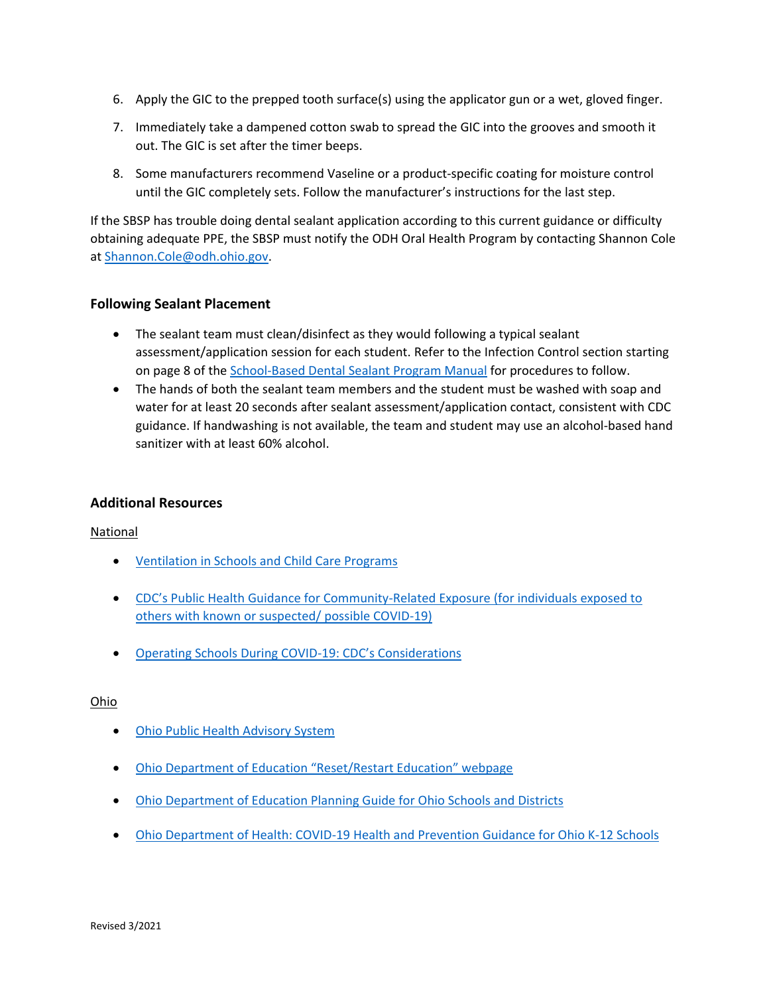- 6. Apply the GIC to the prepped tooth surface(s) using the applicator gun or a wet, gloved finger.
- 7. Immediately take a dampened cotton swab to spread the GIC into the grooves and smooth it out. The GIC is set after the timer beeps.
- 8. Some manufacturers recommend Vaseline or a product-specific coating for moisture control until the GIC completely sets. Follow the manufacturer's instructions for the last step.

If the SBSP has trouble doing dental sealant application according to this current guidance or difficulty obtaining adequate PPE, the SBSP must notify the ODH Oral Health Program by contacting Shannon Cole at [Shannon.Cole@odh.ohio.gov.](mailto:Shannon.Cole@odh.ohio.gov)

# **Following Sealant Placement**

- The sealant team must clean/disinfect as they would following a typical sealant assessment/application session for each student. Refer to the Infection Control section starting on page 8 of the [School-Based Dental Sealant Program Manual](https://odh.ohio.gov/wps/wcm/connect/gov/aeda4a89-69bc-4629-82e7-bb67b41aa348/School-based+Dental+Sealant+Program+Manual.pdf?MOD=AJPERES&CONVERT_TO=url&CACHEID=ROOTWORKSPACE.Z18_M1HGGIK0N0JO00QO9DDDDM3000-aeda4a89-69bc-4629-82e7-bb67b41aa348-mzsIBZt) for procedures to follow.
- The hands of both the sealant team members and the student must be washed with soap and water for at least 20 seconds after sealant assessment/application contact, consistent with CDC guidance. If handwashing is not available, the team and student may use an alcohol-based hand sanitizer with at least 60% alcohol.

# **Additional Resources**

National

- [Ventilation in Schools and Child Care Programs](file:///C:/Users/10058748/Downloads/•%09Ventilation%20in%20Schools%20and%20Child%20Care%20Programs)
- CDC's Public Health Guidance for Community[-Related Exposure \(for individuals exposed to](https://www.cdc.gov/coronavirus/2019-ncov/php/public-health-recommendations.html)  [others with known or suspected/ possible COVID-19\)](https://www.cdc.gov/coronavirus/2019-ncov/php/public-health-recommendations.html)
- [Operating Schools During COVID-](https://www.cdc.gov/coronavirus/2019-ncov/community/schools-childcare/index.html)19: CDC's Considerations

## Ohio

- [Ohio Public Health Advisory System](https://coronavirus.ohio.gov/wps/portal/gov/covid-19/public-health-advisory-system/)
- [Ohio Department of Education "Reset/Restart Education" webpage](http://education.ohio.gov/Topics/Reset-and-Restart)
- [Ohio Department of Education Planning Guide for Ohio Schools and Districts](http://education.ohio.gov/getattachment/Topics/Reset-and-Restart/Reset-Restart-Guide.pdf.aspx?lang=en-US)
- [Ohio Department of Health: COVID-19 Health and Prevention Guidance for Ohio K-12 Schools](https://coronavirus.ohio.gov/static/responsible/schools/K-12-Schools-Guidance.pdf)